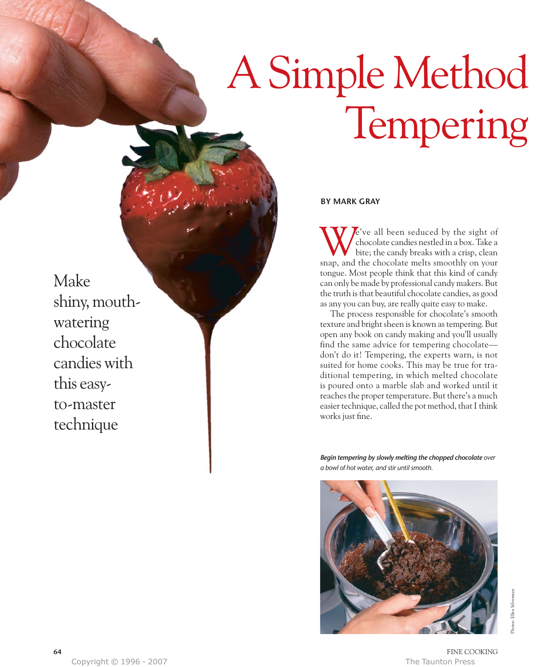# Tempering A Simple Method

Make shiny, mouthwatering chocolate candies with this easyto-master technique

### **BY MARK GRAY**

e've all been seduced by the sight of chocolate candies nestled in a box. Take a bite; the candy breaks with a crisp, clean We've all been seduced by the sight of chocolate candies nestled in a box. Take a bite; the candy breaks with a crisp, clean snap, and the chocolate melts smoothly on your tongue. Most people think that this kind of candy can only be made by professional candy makers. But the truth is that beautiful chocolate candies, as good as any you can buy, are really quite easy to make.

The process responsible for chocolate's smooth texture and bright sheen is known as tempering. But open any book on candy making and you'll usually find the same advice for tempering chocolate don't do it! Tempering, the experts warn, is not suited for home cooks. This may be true for traditional tempering, in which melted chocolate is poured onto a marble slab and worked until it reaches the proper temperature. But there's a much easier technique, called the pot method, that I think works just fine.

*Begin tempering by slowly melting the chopped chocolate over a bowl of hot water, and stir until smooth.*

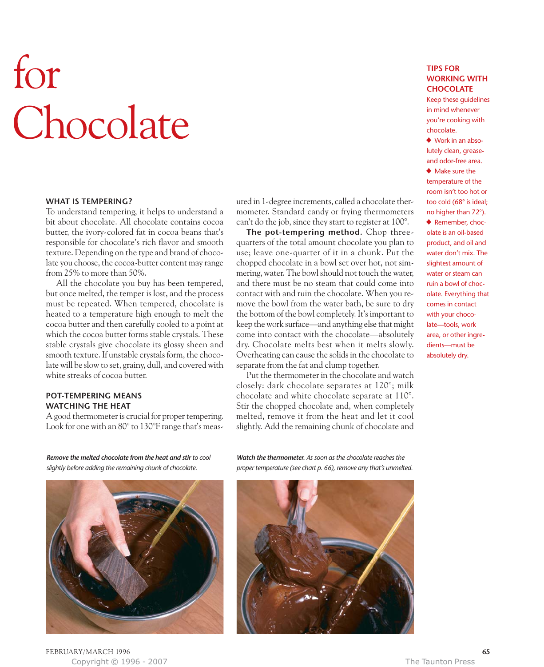# **Chocolate** for

### **WHAT IS TEMPERING?**

To understand tempering, it helps to understand a bit about chocolate. All chocolate contains cocoa butter, the ivory-colored fat in cocoa beans that's responsible for chocolate's rich flavor and smooth texture. Depending on the type and brand of chocolate you choose, the cocoa-butter content may range from 25% to more than 50%.

All the chocolate you buy has been tempered, but once melted, the temper is lost, and the process must be repeated. When tempered, chocolate is heated to a temperature high enough to melt the cocoa butter and then carefully cooled to a point at which the cocoa butter forms stable crystals. These stable crystals give chocolate its glossy sheen and smooth texture. If unstable crystals form, the chocolate will be slow to set, grainy, dull, and covered with white streaks of cocoa butter.

### **POT-TEMPERING MEANS WATCHING THE HEAT**

A good thermometer is crucial for proper tempering. Look for one with an 80° to 130°F range that's measured in 1-degree increments, called a chocolate thermometer. Standard candy or frying thermometers can't do the job, since they start to register at 100°.

**The pot-tempering method.** Chop threequarters of the total amount chocolate you plan to use; leave one-quarter of it in a chunk. Put the chopped chocolate in a bowl set over hot, not simmering, water. The bowl should not touch the water, and there must be no steam that could come into contact with and ruin the chocolate. When you remove the bowl from the water bath, be sure to dry the bottom of the bowl completely. It's important to keep the work surface—and anything else that might come into contact with the chocolate—absolutely dry. Chocolate melts best when it melts slowly. Overheating can cause the solids in the chocolate to separate from the fat and clump together.

Put the thermometer in the chocolate and watch closely: dark chocolate separates at 120°; milk chocolate and white chocolate separate at 110°. Stir the chopped chocolate and, when completely melted, remove it from the heat and let it cool slightly. Add the remaining chunk of chocolate and

*Remove the melted chocolate from the heat and stir to cool slightly before adding the remaining chunk of chocolate.*



FEBRUARY/ MARCH 1996 **65** Copyright © 1996 - 2007 The Taunton Press

*Watch the thermometer. As soon as the chocolate reaches the proper temperature (see chart p. 66), remove any that's unmelted.*



### **TIPS FOR WORKING WITH CHOCOLATE**

Keep these guidelines in mind whenever you're cooking with chocolate.

• Work in an absolutely clean, greaseand odor-free area. • Make sure the temperature of the room isn't too hot or too cold (68° is ideal; no higher than 72°). ◆ Remember, chocolate is an oil-based product, and oil and water don't mix. The slightest amount of water or steam can ruin a bowl of chocolate. Everything that comes in contact with your chocolate—tools, work area, or other ingredients—must be absolutely dry.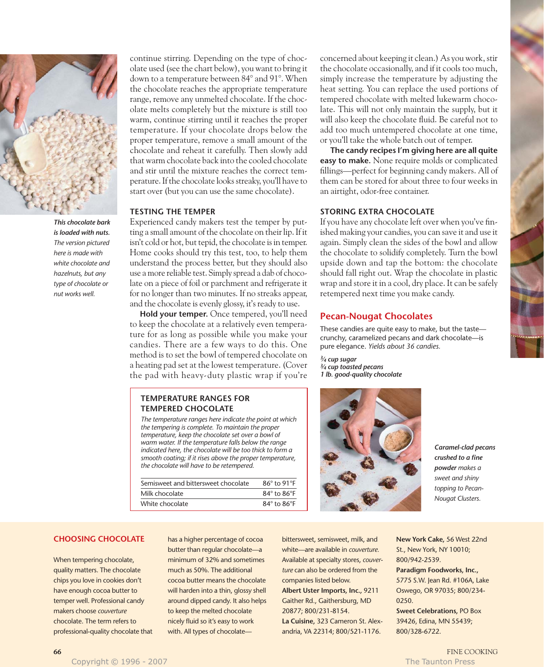

*This chocolate bark is loaded with nuts. The version pictured here is made with white chocolate and hazelnuts, but any type of chocolate or nut works well.*

continue stirring. Depending on the type of chocolate used (see the chart below), you want to bring it down to a temperature between 84° and 91°. When the chocolate reaches the appropriate temperature range, remove any unmelted chocolate. If the chocolate melts completely but the mixture is still too warm, continue stirring until it reaches the proper temperature. If your chocolate drops below the proper temperature, remove a small amount of the chocolate and reheat it carefully. Then slowly add that warm chocolate back into the cooled chocolate and stir until the mixture reaches the correct temperature. If the chocolate looks streaky, you'll have to start over (but you can use the same chocolate).

### **TESTING THE TEMPER**

Experienced candy makers test the temper by putting a small amount of the chocolate on their lip. If it isn't cold or hot, but tepid, the chocolate is in temper. Home cooks should try this test, too, to help them understand the process better, but they should also use a more reliable test. Simply spread a dab of chocolate on a piece of foil or parchment and refrigerate it for no longer than two minutes. If no streaks appear, and the chocolate is evenly glossy, it's ready to use.

**Hold your temper.** Once tempered, you'll need to keep the chocolate at a relatively even temperature for as long as possible while you make your candies. There are a few ways to do this. One method is to set the bowl of tempered chocolate on a heating pad set at the lowest temperature. (Cover the pad with heavy-duty plastic wrap if you're

### **TEMPERATURE RANGES FOR TEMPERED CHOCOLATE**

*The temperature ranges here indicate the point at which the tempering is complete. To maintain the proper temperature, keep the chocolate set over a bowl of warm water. If the temperature falls below the range indicated here, the chocolate will be too thick to form a smooth coating; if it rises above the proper temperature, the chocolate will have to be retempered.*

| Semisweet and bittersweet chocolate | $86^\circ$ to 91 $^\circ$ F |
|-------------------------------------|-----------------------------|
| Milk chocolate                      | $84^\circ$ to $86^\circ$ F  |
| White chocolate                     | $84^\circ$ to $86^\circ$ F  |

concerned about keeping it clean.) As you work, stir the chocolate occasionally, and if it cools too much, simply increase the temperature by adjusting the heat setting. You can replace the used portions of tempered chocolate with melted lukewarm chocolate. This will not only maintain the supply, but it will also keep the chocolate fluid. Be careful not to add too much untempered chocolate at one time, or you'll take the whole batch out of temper.

**The candy recipes I'm giving here are all quite easy to make.** None require molds or complicated fillings—perfect for beginning candy makers. All of them can be stored for about three to four weeks in an airtight, odor-free container.

## **STORING EXTRA CHOCOLATE**

If you have any chocolate left over when you've finished making your candies, you can save it and use it again. Simply clean the sides of the bowl and allow the chocolate to solidify completely. Turn the bowl upside down and tap the bottom: the chocolate should fall right out. Wrap the chocolate in plastic wrap and store it in a cool, dry place. It can be safely retempered next time you make candy.

### **Pecan-Nougat Chocolates**

These candies are quite easy to make, but the taste crunchy, caramelized pecans and dark chocolate—is pure elegance. *Yields about 36 candies.*

*3⁄4 cup sugar 3⁄4 cup toasted pecans 1 lb. good-quality chocolate*



*Caramel-clad pecans crushed to a fine powder makes a sweet and shiny topping to Pecan-Nougat Clusters.*

### **CHOOSING CHOCOLATE**

When tempering chocolate, quality matters. The chocolate chips you love in cookies don't have enough cocoa butter to temper well. Professional candy makers choose *couverture* chocolate. The term refers to professional-quality chocolate that has a higher percentage of cocoa butter than regular chocolate—a minimum of 32% and sometimes much as 50%. The additional cocoa butter means the chocolate will harden into a thin, glossy shell around dipped candy. It also helps to keep the melted chocolate nicely fluid so it's easy to work with. All types of chocolatebittersweet, semisweet, milk, and white—are available in *couverture.* Available at specialty stores, *couverture* can also be ordered from the companies listed below.

**Albert Uster Imports, Inc.,** 9211 Gaither Rd., Gaithersburg, MD 20877; 800/231-8154.

**La Cuisine,** 323 Cameron St. Alexandria, VA 22314; 800/521-1176.

**New York Cake,** 56 West 22nd St., New York, NY 10010; 800/942-2539.

**Paradigm Foodworks, Inc.,**  5775 S.W. Jean Rd. #106A, Lake Oswego, OR 97035; 800/234- 0250.

**Sweet Celebrations,** PO Box 39426, Edina, MN 55439; 800/328-6722.

Copyright © 1996 - 2007 The Taunton Press, and The Taunton Press, and The Taunton Press, and The Taunton Press